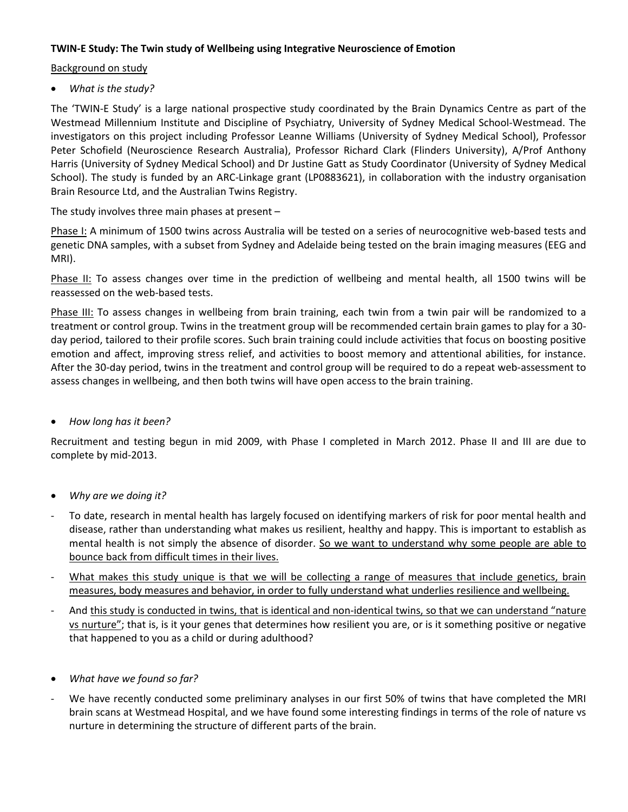## **TWIN-E Study: The Twin study of Wellbeing using Integrative Neuroscience of Emotion**

## Background on study

• *What is the study?*

The 'TWIN-E Study' is a large national prospective study coordinated by the Brain Dynamics Centre as part of the Westmead Millennium Institute and Discipline of Psychiatry, University of Sydney Medical School-Westmead. The investigators on this project including Professor Leanne Williams (University of Sydney Medical School), Professor Peter Schofield (Neuroscience Research Australia), Professor Richard Clark (Flinders University), A/Prof Anthony Harris (University of Sydney Medical School) and Dr Justine Gatt as Study Coordinator (University of Sydney Medical School). The study is funded by an ARC-Linkage grant (LP0883621), in collaboration with the industry organisation Brain Resource Ltd, and the Australian Twins Registry.

The study involves three main phases at present –

Phase I: A minimum of 1500 twins across Australia will be tested on a series of neurocognitive web-based tests and genetic DNA samples, with a subset from Sydney and Adelaide being tested on the brain imaging measures (EEG and MRI).

Phase II: To assess changes over time in the prediction of wellbeing and mental health, all 1500 twins will be reassessed on the web-based tests.

Phase III: To assess changes in wellbeing from brain training, each twin from a twin pair will be randomized to a treatment or control group. Twins in the treatment group will be recommended certain brain games to play for a 30 day period, tailored to their profile scores. Such brain training could include activities that focus on boosting positive emotion and affect, improving stress relief, and activities to boost memory and attentional abilities, for instance. After the 30-day period, twins in the treatment and control group will be required to do a repeat web-assessment to assess changes in wellbeing, and then both twins will have open access to the brain training.

## • *How long has it been?*

Recruitment and testing begun in mid 2009, with Phase I completed in March 2012. Phase II and III are due to complete by mid-2013.

- *Why are we doing it?*
- To date, research in mental health has largely focused on identifying markers of risk for poor mental health and disease, rather than understanding what makes us resilient, healthy and happy. This is important to establish as mental health is not simply the absence of disorder. So we want to understand why some people are able to bounce back from difficult times in their lives.
- What makes this study unique is that we will be collecting a range of measures that include genetics, brain measures, body measures and behavior, in order to fully understand what underlies resilience and wellbeing.
- And this study is conducted in twins, that is identical and non-identical twins, so that we can understand "nature vs nurture"; that is, is it your genes that determines how resilient you are, or is it something positive or negative that happened to you as a child or during adulthood?
- *What have we found so far?*
- We have recently conducted some preliminary analyses in our first 50% of twins that have completed the MRI brain scans at Westmead Hospital, and we have found some interesting findings in terms of the role of nature vs nurture in determining the structure of different parts of the brain.